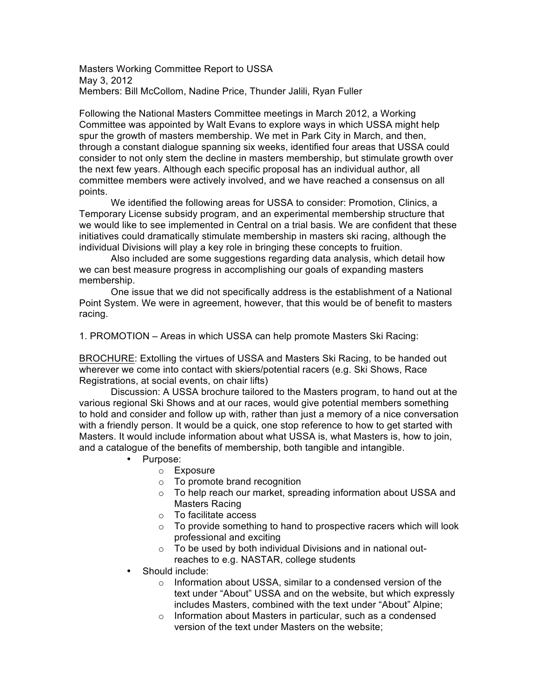Masters Working Committee Report to USSA May 3, 2012 Members: Bill McCollom, Nadine Price, Thunder Jalili, Ryan Fuller

Following the National Masters Committee meetings in March 2012, a Working Committee was appointed by Walt Evans to explore ways in which USSA might help spur the growth of masters membership. We met in Park City in March, and then, through a constant dialogue spanning six weeks, identified four areas that USSA could consider to not only stem the decline in masters membership, but stimulate growth over the next few years. Although each specific proposal has an individual author, all committee members were actively involved, and we have reached a consensus on all points.

We identified the following areas for USSA to consider: Promotion, Clinics, a Temporary License subsidy program, and an experimental membership structure that we would like to see implemented in Central on a trial basis. We are confident that these initiatives could dramatically stimulate membership in masters ski racing, although the individual Divisions will play a key role in bringing these concepts to fruition.

Also included are some suggestions regarding data analysis, which detail how we can best measure progress in accomplishing our goals of expanding masters membership.

One issue that we did not specifically address is the establishment of a National Point System. We were in agreement, however, that this would be of benefit to masters racing.

1. PROMOTION – Areas in which USSA can help promote Masters Ski Racing:

BROCHURE: Extolling the virtues of USSA and Masters Ski Racing, to be handed out wherever we come into contact with skiers/potential racers (e.g. Ski Shows, Race Registrations, at social events, on chair lifts)

Discussion: A USSA brochure tailored to the Masters program, to hand out at the various regional Ski Shows and at our races, would give potential members something to hold and consider and follow up with, rather than just a memory of a nice conversation with a friendly person. It would be a quick, one stop reference to how to get started with Masters. It would include information about what USSA is, what Masters is, how to join, and a catalogue of the benefits of membership, both tangible and intangible.

- Purpose:
	- o Exposure
	- o To promote brand recognition
	- o To help reach our market, spreading information about USSA and Masters Racing
	- o To facilitate access
	- $\circ$  To provide something to hand to prospective racers which will look professional and exciting
	- $\circ$  To be used by both individual Divisions and in national outreaches to e.g. NASTAR, college students
- Should include:
	- o Information about USSA, similar to a condensed version of the text under "About" USSA and on the website, but which expressly includes Masters, combined with the text under "About" Alpine;
	- o Information about Masters in particular, such as a condensed version of the text under Masters on the website;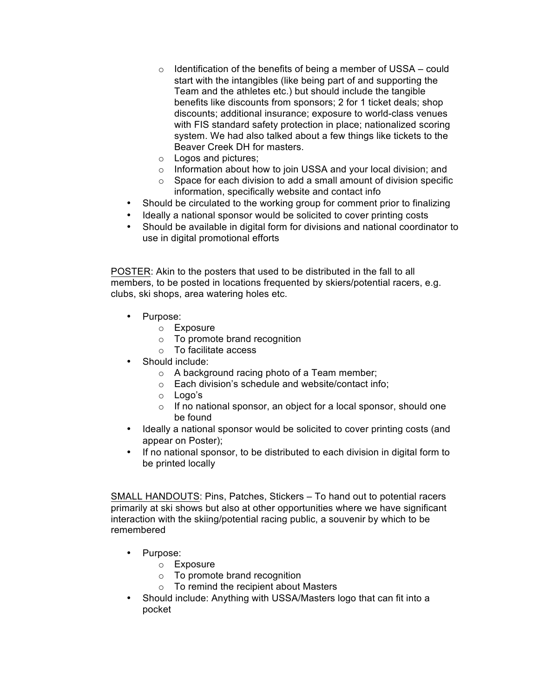- $\circ$  Identification of the benefits of being a member of USSA could start with the intangibles (like being part of and supporting the Team and the athletes etc.) but should include the tangible benefits like discounts from sponsors; 2 for 1 ticket deals; shop discounts; additional insurance; exposure to world-class venues with FIS standard safety protection in place; nationalized scoring system. We had also talked about a few things like tickets to the Beaver Creek DH for masters.
- o Logos and pictures;
- o Information about how to join USSA and your local division; and
- $\circ$  Space for each division to add a small amount of division specific information, specifically website and contact info
- Should be circulated to the working group for comment prior to finalizing
- Ideally a national sponsor would be solicited to cover printing costs
- Should be available in digital form for divisions and national coordinator to use in digital promotional efforts

POSTER: Akin to the posters that used to be distributed in the fall to all members, to be posted in locations frequented by skiers/potential racers, e.g. clubs, ski shops, area watering holes etc.

- Purpose:
	- o Exposure
	- o To promote brand recognition
	- o To facilitate access
- Should include:
	- o A background racing photo of a Team member;
	- o Each division's schedule and website/contact info;
	- o Logo's
	- $\circ$  If no national sponsor, an object for a local sponsor, should one be found
- Ideally a national sponsor would be solicited to cover printing costs (and appear on Poster);
- If no national sponsor, to be distributed to each division in digital form to be printed locally

SMALL HANDOUTS: Pins, Patches, Stickers – To hand out to potential racers primarily at ski shows but also at other opportunities where we have significant interaction with the skiing/potential racing public, a souvenir by which to be remembered

- Purpose:
	- o Exposure
	- o To promote brand recognition
	- o To remind the recipient about Masters
- Should include: Anything with USSA/Masters logo that can fit into a pocket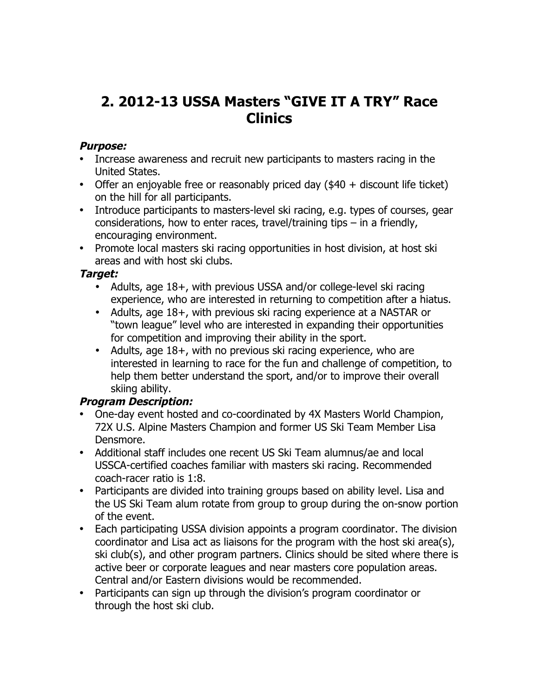# **2. 2012-13 USSA Masters "GIVE IT A TRY" Race Clinics**

### **Purpose:**

- Increase awareness and recruit new participants to masters racing in the United States.
- Offer an enjoyable free or reasonably priced day (\$40 + discount life ticket) on the hill for all participants.
- Introduce participants to masters-level ski racing, e.g. types of courses, gear considerations, how to enter races, travel/training tips – in a friendly, encouraging environment.
- Promote local masters ski racing opportunities in host division, at host ski areas and with host ski clubs.

### **Target:**

- Adults, age 18+, with previous USSA and/or college-level ski racing experience, who are interested in returning to competition after a hiatus.
- Adults, age 18+, with previous ski racing experience at a NASTAR or "town league" level who are interested in expanding their opportunities for competition and improving their ability in the sport.
- Adults, age 18+, with no previous ski racing experience, who are interested in learning to race for the fun and challenge of competition, to help them better understand the sport, and/or to improve their overall skiing ability.

### **Program Description:**

- One-day event hosted and co-coordinated by 4X Masters World Champion, 72X U.S. Alpine Masters Champion and former US Ski Team Member Lisa Densmore.
- Additional staff includes one recent US Ski Team alumnus/ae and local USSCA-certified coaches familiar with masters ski racing. Recommended coach-racer ratio is 1:8.
- Participants are divided into training groups based on ability level. Lisa and the US Ski Team alum rotate from group to group during the on-snow portion of the event.
- Each participating USSA division appoints a program coordinator. The division coordinator and Lisa act as liaisons for the program with the host ski area(s), ski club(s), and other program partners. Clinics should be sited where there is active beer or corporate leagues and near masters core population areas. Central and/or Eastern divisions would be recommended.
- Participants can sign up through the division's program coordinator or through the host ski club.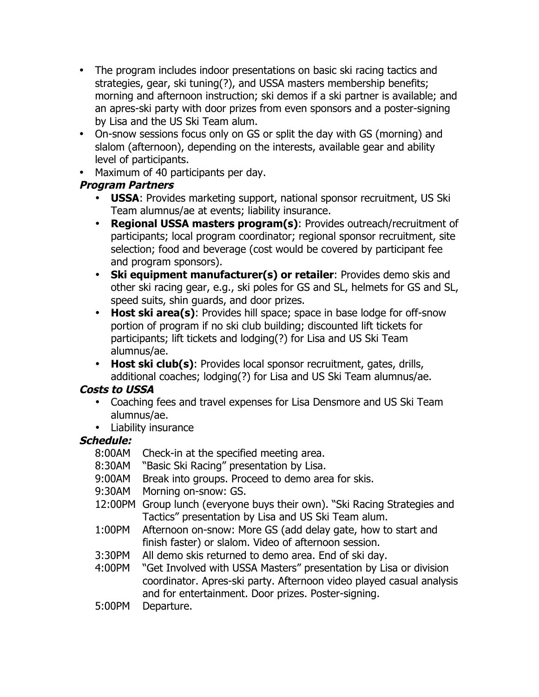- The program includes indoor presentations on basic ski racing tactics and strategies, gear, ski tuning(?), and USSA masters membership benefits; morning and afternoon instruction; ski demos if a ski partner is available; and an apres-ski party with door prizes from even sponsors and a poster-signing by Lisa and the US Ski Team alum.
- On-snow sessions focus only on GS or split the day with GS (morning) and slalom (afternoon), depending on the interests, available gear and ability level of participants.
- Maximum of 40 participants per day.

# **Program Partners**

- **USSA**: Provides marketing support, national sponsor recruitment, US Ski Team alumnus/ae at events; liability insurance.
- **Regional USSA masters program(s)**: Provides outreach/recruitment of participants; local program coordinator; regional sponsor recruitment, site selection; food and beverage (cost would be covered by participant fee and program sponsors).
- **Ski equipment manufacturer(s) or retailer**: Provides demo skis and other ski racing gear, e.g., ski poles for GS and SL, helmets for GS and SL, speed suits, shin guards, and door prizes.
- **Host ski area(s)**: Provides hill space; space in base lodge for off-snow portion of program if no ski club building; discounted lift tickets for participants; lift tickets and lodging(?) for Lisa and US Ski Team alumnus/ae.
- **Host ski club(s)**: Provides local sponsor recruitment, gates, drills, additional coaches; lodging(?) for Lisa and US Ski Team alumnus/ae.

# **Costs to USSA**

- Coaching fees and travel expenses for Lisa Densmore and US Ski Team alumnus/ae.
- Liability insurance

# **Schedule:**

- 8:00AM Check-in at the specified meeting area.
- 8:30AM "Basic Ski Racing" presentation by Lisa.
- 9:00AM Break into groups. Proceed to demo area for skis.
- 9:30AM Morning on-snow: GS.
- 12:00PM Group lunch (everyone buys their own). "Ski Racing Strategies and Tactics" presentation by Lisa and US Ski Team alum.
- 1:00PM Afternoon on-snow: More GS (add delay gate, how to start and finish faster) or slalom. Video of afternoon session.
- 3:30PM All demo skis returned to demo area. End of ski day.
- 4:00PM "Get Involved with USSA Masters" presentation by Lisa or division coordinator. Apres-ski party. Afternoon video played casual analysis and for entertainment. Door prizes. Poster-signing.
- 5:00PM Departure.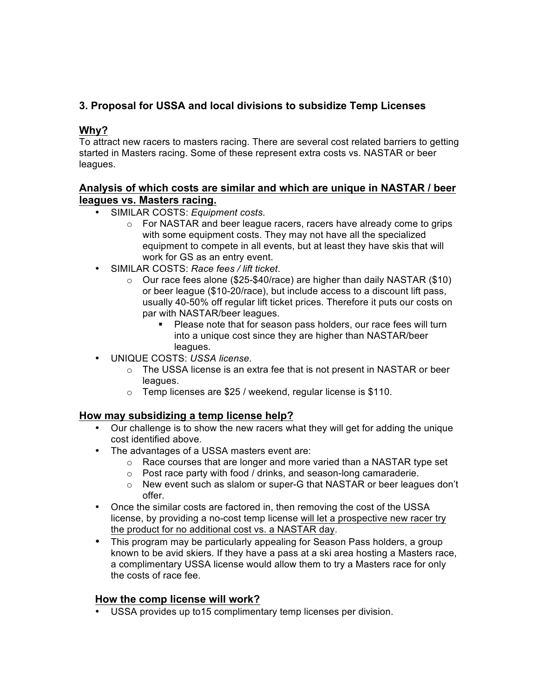### **3. Proposal for USSA and local divisions to subsidize Temp Licenses**

### **Why?**

To attract new racers to masters racing. There are several cost related barriers to getting started in Masters racing. Some of these represent extra costs vs. NASTAR or beer leagues.

#### **Analysis of which costs are similar and which are unique in NASTAR / beer leagues vs. Masters racing.**

- SIMILAR COSTS: *Equipment costs*.
	- o For NASTAR and beer league racers, racers have already come to grips with some equipment costs. They may not have all the specialized equipment to compete in all events, but at least they have skis that will work for GS as an entry event.
- SIMILAR COSTS: *Race fees / lift ticket*.
	- o Our race fees alone (\$25-\$40/race) are higher than daily NASTAR (\$10) or beer league (\$10-20/race), but include access to a discount lift pass, usually 40-50% off regular lift ticket prices. Therefore it puts our costs on par with NASTAR/beer leagues.
		- Please note that for season pass holders, our race fees will turn into a unique cost since they are higher than NASTAR/beer leagues.
- UNIQUE COSTS: *USSA license*.
	- $\circ$  The USSA license is an extra fee that is not present in NASTAR or beer leagues.
	- o Temp licenses are \$25 / weekend, regular license is \$110.

#### **How may subsidizing a temp license help?**

- Our challenge is to show the new racers what they will get for adding the unique cost identified above.
- The advantages of a USSA masters event are:
	- o Race courses that are longer and more varied than a NASTAR type set
	- o Post race party with food / drinks, and season-long camaraderie.
	- $\circ$  New event such as slalom or super-G that NASTAR or beer leagues don't offer.
- Once the similar costs are factored in, then removing the cost of the USSA license, by providing a no-cost temp license will let a prospective new racer try the product for no additional cost vs. a NASTAR day.
- This program may be particularly appealing for Season Pass holders, a group known to be avid skiers. If they have a pass at a ski area hosting a Masters race, a complimentary USSA license would allow them to try a Masters race for only the costs of race fee.

#### **How the comp license will work?**

• USSA provides up to15 complimentary temp licenses per division.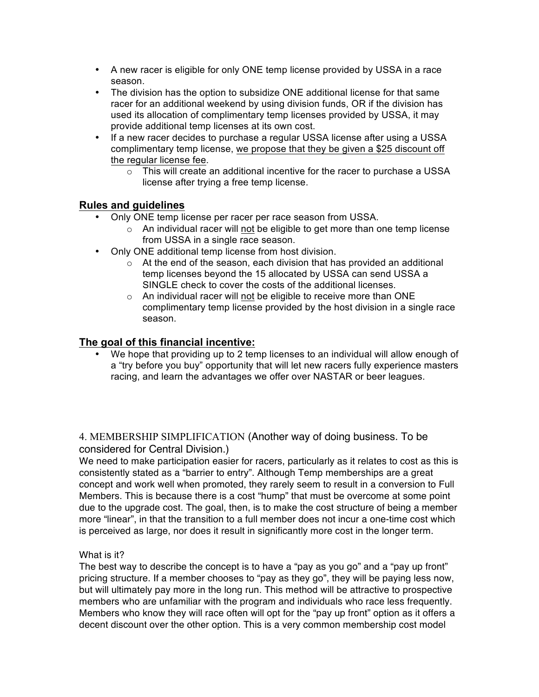- A new racer is eligible for only ONE temp license provided by USSA in a race season.
- The division has the option to subsidize ONE additional license for that same racer for an additional weekend by using division funds, OR if the division has used its allocation of complimentary temp licenses provided by USSA, it may provide additional temp licenses at its own cost.
- If a new racer decides to purchase a regular USSA license after using a USSA complimentary temp license, we propose that they be given a \$25 discount off the regular license fee.
	- $\circ$  This will create an additional incentive for the racer to purchase a USSA license after trying a free temp license.

#### **Rules and guidelines**

- Only ONE temp license per racer per race season from USSA.
	- $\circ$  An individual racer will not be eligible to get more than one temp license from USSA in a single race season.
- Only ONE additional temp license from host division.
	- $\circ$  At the end of the season, each division that has provided an additional temp licenses beyond the 15 allocated by USSA can send USSA a SINGLE check to cover the costs of the additional licenses.
	- $\circ$  An individual racer will not be eligible to receive more than ONE complimentary temp license provided by the host division in a single race season.

#### **The goal of this financial incentive:**

• We hope that providing up to 2 temp licenses to an individual will allow enough of a "try before you buy" opportunity that will let new racers fully experience masters racing, and learn the advantages we offer over NASTAR or beer leagues.

4. MEMBERSHIP SIMPLIFICATION (Another way of doing business. To be considered for Central Division.)

We need to make participation easier for racers, particularly as it relates to cost as this is consistently stated as a "barrier to entry". Although Temp memberships are a great concept and work well when promoted, they rarely seem to result in a conversion to Full Members. This is because there is a cost "hump" that must be overcome at some point due to the upgrade cost. The goal, then, is to make the cost structure of being a member more "linear", in that the transition to a full member does not incur a one-time cost which is perceived as large, nor does it result in significantly more cost in the longer term.

#### What is it?

The best way to describe the concept is to have a "pay as you go" and a "pay up front" pricing structure. If a member chooses to "pay as they go", they will be paying less now, but will ultimately pay more in the long run. This method will be attractive to prospective members who are unfamiliar with the program and individuals who race less frequently. Members who know they will race often will opt for the "pay up front" option as it offers a decent discount over the other option. This is a very common membership cost model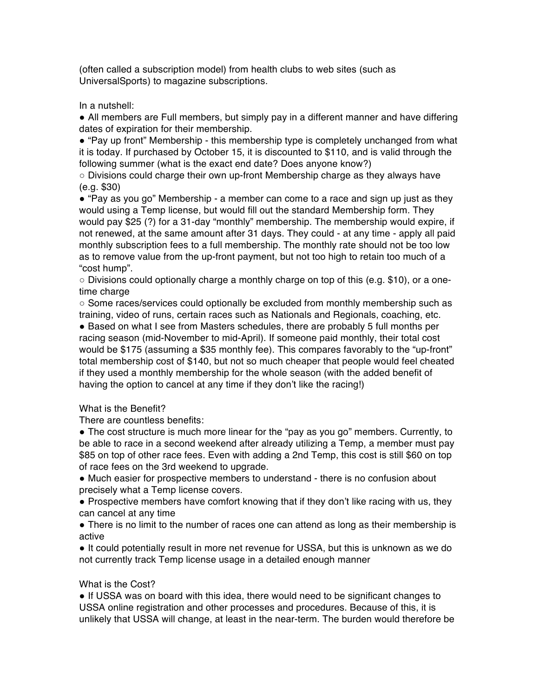(often called a subscription model) from health clubs to web sites (such as UniversalSports) to magazine subscriptions.

In a nutshell:

• All members are Full members, but simply pay in a different manner and have differing dates of expiration for their membership.

● "Pay up front" Membership - this membership type is completely unchanged from what it is today. If purchased by October 15, it is discounted to \$110, and is valid through the following summer (what is the exact end date? Does anyone know?)

 $\circ$  Divisions could charge their own up-front Membership charge as they always have (e.g. \$30)

● "Pay as you go" Membership - a member can come to a race and sign up just as they would using a Temp license, but would fill out the standard Membership form. They would pay \$25 (?) for a 31-day "monthly" membership. The membership would expire, if not renewed, at the same amount after 31 days. They could - at any time - apply all paid monthly subscription fees to a full membership. The monthly rate should not be too low as to remove value from the up-front payment, but not too high to retain too much of a "cost hump".

○ Divisions could optionally charge a monthly charge on top of this (e.g. \$10), or a onetime charge

○ Some races/services could optionally be excluded from monthly membership such as training, video of runs, certain races such as Nationals and Regionals, coaching, etc.

● Based on what I see from Masters schedules, there are probably 5 full months per racing season (mid-November to mid-April). If someone paid monthly, their total cost would be \$175 (assuming a \$35 monthly fee). This compares favorably to the "up-front" total membership cost of \$140, but not so much cheaper that people would feel cheated if they used a monthly membership for the whole season (with the added benefit of having the option to cancel at any time if they don't like the racing!)

#### What is the Benefit?

There are countless benefits:

• The cost structure is much more linear for the "pay as you go" members. Currently, to be able to race in a second weekend after already utilizing a Temp, a member must pay \$85 on top of other race fees. Even with adding a 2nd Temp, this cost is still \$60 on top of race fees on the 3rd weekend to upgrade.

● Much easier for prospective members to understand - there is no confusion about precisely what a Temp license covers.

• Prospective members have comfort knowing that if they don't like racing with us, they can cancel at any time

• There is no limit to the number of races one can attend as long as their membership is active

● It could potentially result in more net revenue for USSA, but this is unknown as we do not currently track Temp license usage in a detailed enough manner

#### What is the Cost?

● If USSA was on board with this idea, there would need to be significant changes to USSA online registration and other processes and procedures. Because of this, it is unlikely that USSA will change, at least in the near-term. The burden would therefore be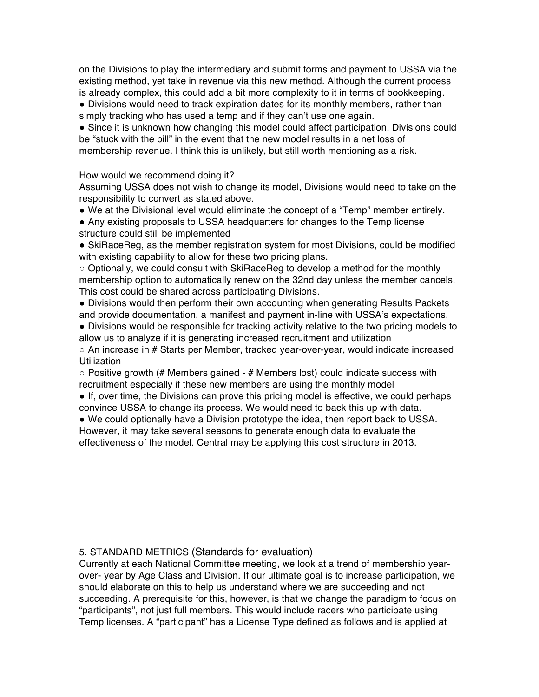on the Divisions to play the intermediary and submit forms and payment to USSA via the existing method, yet take in revenue via this new method. Although the current process is already complex, this could add a bit more complexity to it in terms of bookkeeping.

● Divisions would need to track expiration dates for its monthly members, rather than simply tracking who has used a temp and if they can't use one again.

● Since it is unknown how changing this model could affect participation, Divisions could be "stuck with the bill" in the event that the new model results in a net loss of membership revenue. I think this is unlikely, but still worth mentioning as a risk.

#### How would we recommend doing it?

Assuming USSA does not wish to change its model, Divisions would need to take on the responsibility to convert as stated above.

● We at the Divisional level would eliminate the concept of a "Temp" member entirely.

● Any existing proposals to USSA headquarters for changes to the Temp license structure could still be implemented

● SkiRaceReg, as the member registration system for most Divisions, could be modified with existing capability to allow for these two pricing plans.

○ Optionally, we could consult with SkiRaceReg to develop a method for the monthly membership option to automatically renew on the 32nd day unless the member cancels. This cost could be shared across participating Divisions.

● Divisions would then perform their own accounting when generating Results Packets and provide documentation, a manifest and payment in-line with USSA's expectations.

● Divisions would be responsible for tracking activity relative to the two pricing models to allow us to analyze if it is generating increased recruitment and utilization

○ An increase in # Starts per Member, tracked year-over-year, would indicate increased **Utilization** 

 $\circ$  Positive growth (# Members gained - # Members lost) could indicate success with recruitment especially if these new members are using the monthly model

• If, over time, the Divisions can prove this pricing model is effective, we could perhaps convince USSA to change its process. We would need to back this up with data.

● We could optionally have a Division prototype the idea, then report back to USSA. However, it may take several seasons to generate enough data to evaluate the effectiveness of the model. Central may be applying this cost structure in 2013.

#### 5. STANDARD METRICS (Standards for evaluation)

Currently at each National Committee meeting, we look at a trend of membership yearover- year by Age Class and Division. If our ultimate goal is to increase participation, we should elaborate on this to help us understand where we are succeeding and not succeeding. A prerequisite for this, however, is that we change the paradigm to focus on "participants", not just full members. This would include racers who participate using Temp licenses. A "participant" has a License Type defined as follows and is applied at